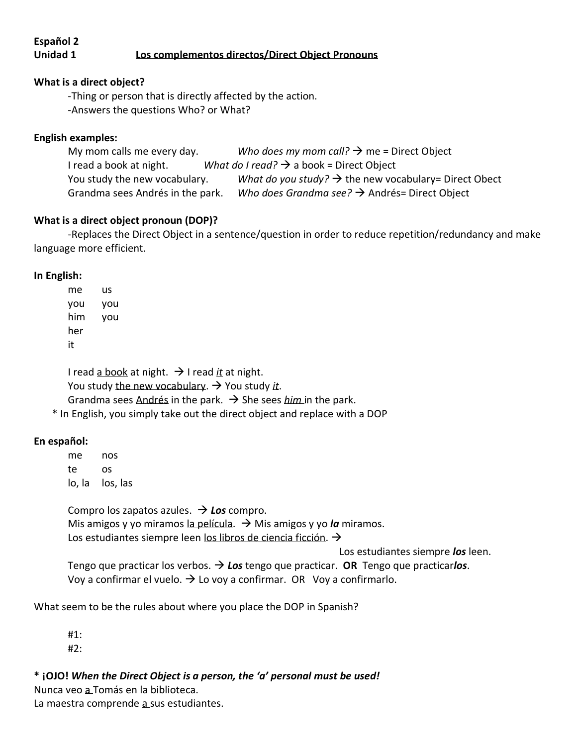# **Español 2**

# **Unidad 1 Los complementos directos/Direct Object Pronouns**

# **What is a direct object?**

-Thing or person that is directly affected by the action.

-Answers the questions Who? or What?

# **English examples:**

My mom calls me every day. *Who does my mom call?*  $\rightarrow$  me = Direct Object I read a book at night. *What do I read?* → a book = Direct Object You study the new vocabulary. *What do you study?*  $\rightarrow$  the new vocabulary= Direct Obect Grandma sees Andrés in the park. *Who does Grandma see?* → Andrés= Direct Object

#### **What is a direct object pronoun (DOP)?**

-Replaces the Direct Object in a sentence/question in order to reduce repetition/redundancy and make language more efficient.

#### **In English:**

me us you you him you her it

I read a book at night. → I read *it* at night. You study the new vocabulary.  $\rightarrow$  You study *it*. Grandma sees Andrés in the park.  $\rightarrow$  She sees *him* in the park.

\* In English, you simply take out the direct object and replace with a DOP

# **En español:**

me nos te os lo, la los, las

Compro los zapatos azules. → *Los* compro. Mis amigos y yo miramos la película. → Mis amigos y yo *la* miramos. Los estudiantes siempre leen los libros de ciencia ficción. →

Los estudiantes siempre *los* leen.

Tengo que practicar los verbos. → *Los* tengo que practicar. **OR** Tengo que practicar*los*. Voy a confirmar el vuelo.  $\rightarrow$  Lo voy a confirmar. OR Voy a confirmarlo.

What seem to be the rules about where you place the DOP in Spanish?

 #1: #2:

**\* ¡OJO!** *When the Direct Object is a person, the 'a' personal must be used!*

Nunca veo a Tomás en la biblioteca.

La maestra comprende a sus estudiantes.